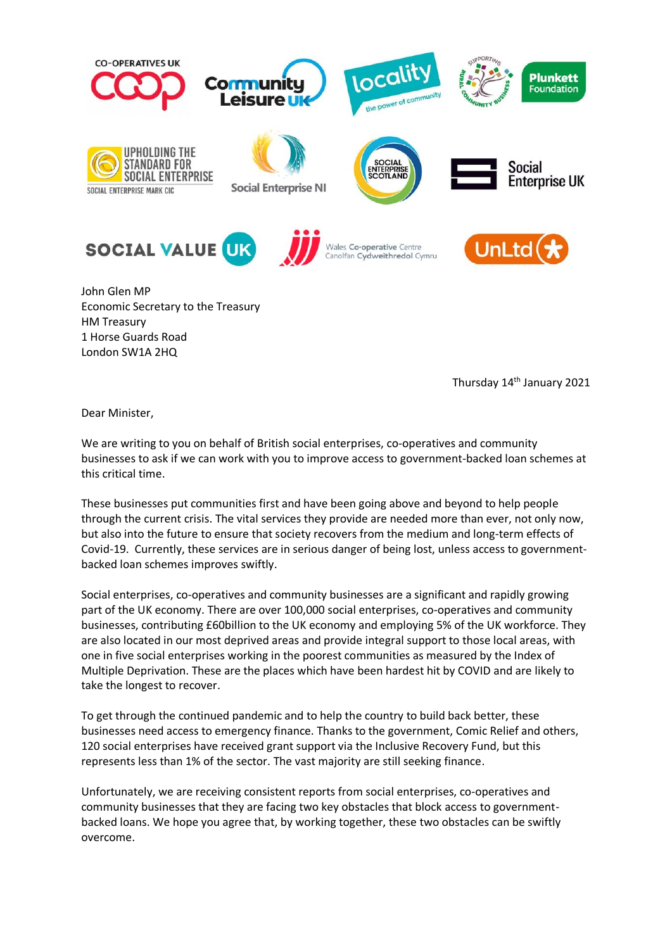

John Glen MP Economic Secretary to the Treasury HM Treasury 1 Horse Guards Road London SW1A 2HQ

Thursday 14<sup>th</sup> January 2021

Dear Minister,

We are writing to you on behalf of British social enterprises, co-operatives and community businesses to ask if we can work with you to improve access to government-backed loan schemes at this critical time.

These businesses put communities first and have been going above and beyond to help people through the current crisis. The vital services they provide are needed more than ever, not only now, but also into the future to ensure that society recovers from the medium and long-term effects of Covid-19. Currently, these services are in serious danger of being lost, unless access to governmentbacked loan schemes improves swiftly.

Social enterprises, co-operatives and community businesses are a significant and rapidly growing part of the UK economy. There are over 100,000 social enterprises, co-operatives and community businesses, contributing £60billion to the UK economy and employing 5% of the UK workforce. They are also located in our most deprived areas and provide integral support to those local areas, with one in five social enterprises working in the poorest communities as measured by the Index of Multiple Deprivation. These are the places which have been hardest hit by COVID and are likely to take the longest to recover.

To get through the continued pandemic and to help the country to build back better, these businesses need access to emergency finance. Thanks to the government, Comic Relief and others, 120 social enterprises have received grant support via the Inclusive Recovery Fund, but this represents less than 1% of the sector. The vast majority are still seeking finance.

Unfortunately, we are receiving consistent reports from social enterprises, co-operatives and community businesses that they are facing two key obstacles that block access to governmentbacked loans. We hope you agree that, by working together, these two obstacles can be swiftly overcome.